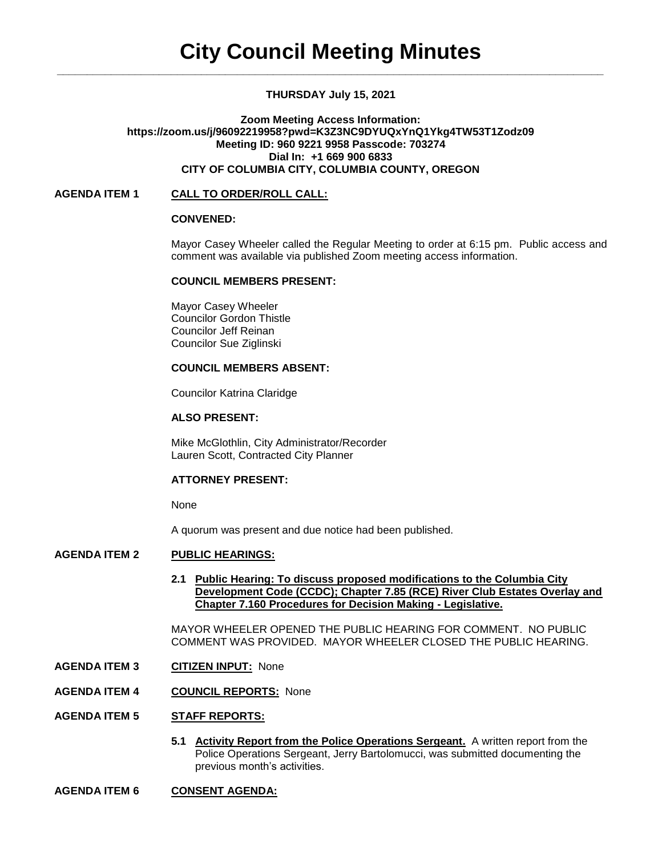## **THURSDAY July 15, 2021**

### **Zoom Meeting Access Information: https://zoom.us/j/96092219958?pwd=K3Z3NC9DYUQxYnQ1Ykg4TW53T1Zodz09 Meeting ID: 960 9221 9958 Passcode: 703274 Dial In: +1 669 900 6833 CITY OF COLUMBIA CITY, COLUMBIA COUNTY, OREGON**

### **AGENDA ITEM 1 CALL TO ORDER/ROLL CALL:**

### **CONVENED:**

Mayor Casey Wheeler called the Regular Meeting to order at 6:15 pm. Public access and comment was available via published Zoom meeting access information.

### **COUNCIL MEMBERS PRESENT:**

Mayor Casey Wheeler Councilor Gordon Thistle Councilor Jeff Reinan Councilor Sue Ziglinski

### **COUNCIL MEMBERS ABSENT:**

Councilor Katrina Claridge

# **ALSO PRESENT:**

Mike McGlothlin, City Administrator/Recorder Lauren Scott, Contracted City Planner

### **ATTORNEY PRESENT:**

None

A quorum was present and due notice had been published.

# **AGENDA ITEM 2 PUBLIC HEARINGS:**

**2.1 Public Hearing: To discuss proposed modifications to the Columbia City Development Code (CCDC); Chapter 7.85 (RCE) River Club Estates Overlay and Chapter 7.160 Procedures for Decision Making - Legislative.**

MAYOR WHEELER OPENED THE PUBLIC HEARING FOR COMMENT. NO PUBLIC COMMENT WAS PROVIDED. MAYOR WHEELER CLOSED THE PUBLIC HEARING.

- **AGENDA ITEM 3 CITIZEN INPUT:** None
- **AGENDA ITEM 4 COUNCIL REPORTS:** None

### **AGENDA ITEM 5 STAFF REPORTS:**

- **5.1 Activity Report from the Police Operations Sergeant.** A written report from the Police Operations Sergeant, Jerry Bartolomucci, was submitted documenting the previous month's activities.
- **AGENDA ITEM 6 CONSENT AGENDA:**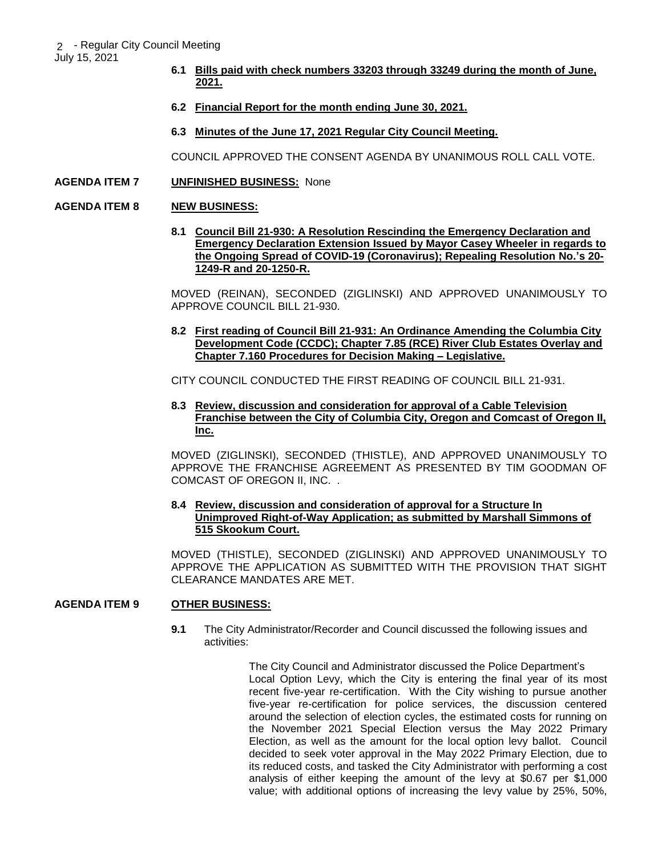July 15, 2021

- **6.1 Bills paid with check numbers 33203 through 33249 during the month of June, 2021.**
- **6.2 Financial Report for the month ending June 30, 2021.**
- **6.3 Minutes of the June 17, 2021 Regular City Council Meeting.**

COUNCIL APPROVED THE CONSENT AGENDA BY UNANIMOUS ROLL CALL VOTE.

## **AGENDA ITEM 7 UNFINISHED BUSINESS:** None

### **AGENDA ITEM 8 NEW BUSINESS:**

**8.1 Council Bill 21-930: A Resolution Rescinding the Emergency Declaration and Emergency Declaration Extension Issued by Mayor Casey Wheeler in regards to the Ongoing Spread of COVID-19 (Coronavirus); Repealing Resolution No.'s 20- 1249-R and 20-1250-R.** 

MOVED (REINAN), SECONDED (ZIGLINSKI) AND APPROVED UNANIMOUSLY TO APPROVE COUNCIL BILL 21-930.

**8.2 First reading of Council Bill 21-931: An Ordinance Amending the Columbia City Development Code (CCDC); Chapter 7.85 (RCE) River Club Estates Overlay and Chapter 7.160 Procedures for Decision Making – Legislative.**

CITY COUNCIL CONDUCTED THE FIRST READING OF COUNCIL BILL 21-931.

**8.3 Review, discussion and consideration for approval of a Cable Television Franchise between the City of Columbia City, Oregon and Comcast of Oregon II, Inc.** 

MOVED (ZIGLINSKI), SECONDED (THISTLE), AND APPROVED UNANIMOUSLY TO APPROVE THE FRANCHISE AGREEMENT AS PRESENTED BY TIM GOODMAN OF COMCAST OF OREGON II, INC. .

### **8.4 Review, discussion and consideration of approval for a Structure In Unimproved Right-of-Way Application; as submitted by Marshall Simmons of 515 Skookum Court.**

MOVED (THISTLE), SECONDED (ZIGLINSKI) AND APPROVED UNANIMOUSLY TO APPROVE THE APPLICATION AS SUBMITTED WITH THE PROVISION THAT SIGHT CLEARANCE MANDATES ARE MET.

# **AGENDA ITEM 9 OTHER BUSINESS:**

**9.1** The City Administrator/Recorder and Council discussed the following issues and activities:

> The City Council and Administrator discussed the Police Department's Local Option Levy, which the City is entering the final year of its most recent five-year re-certification. With the City wishing to pursue another five-year re-certification for police services, the discussion centered around the selection of election cycles, the estimated costs for running on the November 2021 Special Election versus the May 2022 Primary Election, as well as the amount for the local option levy ballot. Council decided to seek voter approval in the May 2022 Primary Election, due to its reduced costs, and tasked the City Administrator with performing a cost analysis of either keeping the amount of the levy at \$0.67 per \$1,000 value; with additional options of increasing the levy value by 25%, 50%,